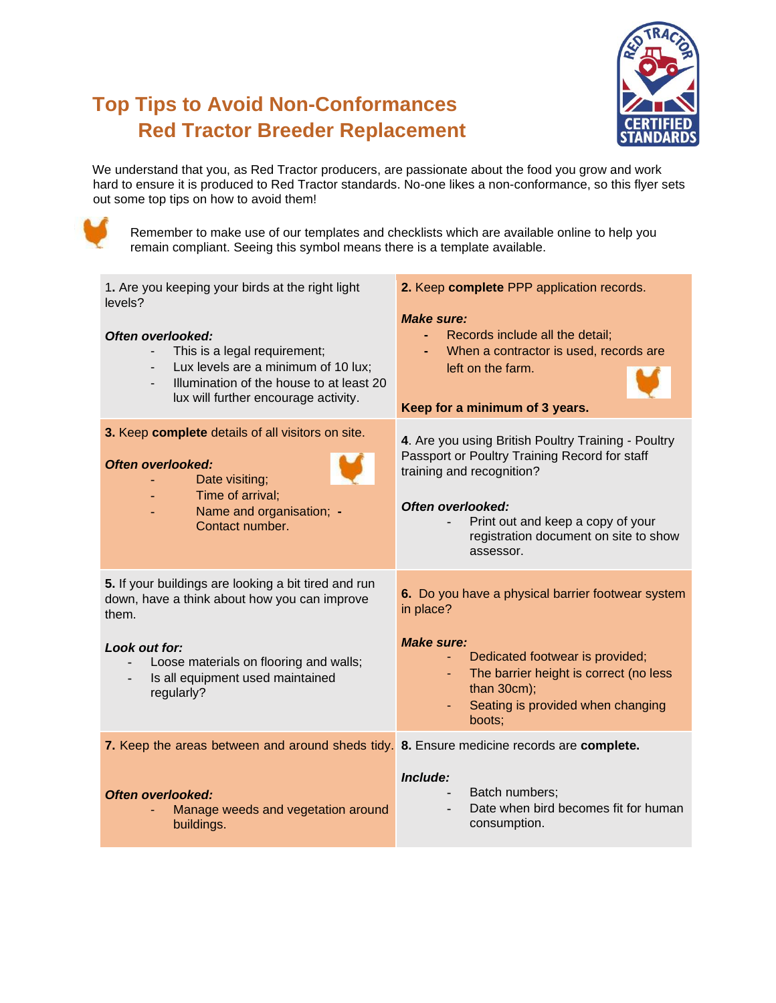## **Top Tips to Avoid Non-Conformances Red Tractor Breeder Replacement**



We understand that you, as Red Tractor producers, are passionate about the food you grow and work hard to ensure it is produced to Red Tractor standards. No-one likes a non-conformance, so this flyer sets out some top tips on how to avoid them!



Remember to make use of our templates and checklists which are available online to help you remain compliant. Seeing this symbol means there is a template available.

| 1. Are you keeping your birds at the right light<br>levels?                                                                                                                  | 2. Keep complete PPP application records.<br><b>Make sure:</b>                                                                                                                                                                                    |
|------------------------------------------------------------------------------------------------------------------------------------------------------------------------------|---------------------------------------------------------------------------------------------------------------------------------------------------------------------------------------------------------------------------------------------------|
| Often overlooked:<br>This is a legal requirement;<br>Lux levels are a minimum of 10 lux;<br>Illumination of the house to at least 20<br>lux will further encourage activity. | Records include all the detail;<br>$\sim$<br>When a contractor is used, records are<br>left on the farm.<br>Keep for a minimum of 3 years.                                                                                                        |
| 3. Keep complete details of all visitors on site.<br><b>Often overlooked:</b><br>Date visiting;<br>Time of arrival;<br>Name and organisation; -<br>Contact number.           | 4. Are you using British Poultry Training - Poultry<br>Passport or Poultry Training Record for staff<br>training and recognition?<br>Often overlooked:<br>Print out and keep a copy of your<br>registration document on site to show<br>assessor. |
| 5. If your buildings are looking a bit tired and run<br>down, have a think about how you can improve<br>them.                                                                | 6. Do you have a physical barrier footwear system<br>in place?                                                                                                                                                                                    |
| Look out for:<br>Loose materials on flooring and walls;<br>Is all equipment used maintained<br>regularly?                                                                    | <b>Make sure:</b><br>Dedicated footwear is provided;<br>The barrier height is correct (no less<br>than $30cm$ ;<br>Seating is provided when changing<br>boots;                                                                                    |
| 7. Keep the areas between and around sheds tidy. 8. Ensure medicine records are complete.                                                                                    |                                                                                                                                                                                                                                                   |
| <b>Often overlooked:</b><br>Manage weeds and vegetation around<br>buildings.                                                                                                 | Include:<br>Batch numbers;<br>Date when bird becomes fit for human<br>consumption.                                                                                                                                                                |